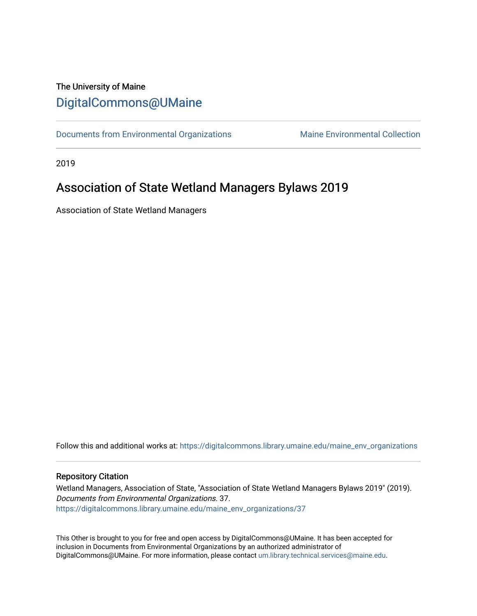# The University of Maine [DigitalCommons@UMaine](https://digitalcommons.library.umaine.edu/)

[Documents from Environmental Organizations](https://digitalcommons.library.umaine.edu/maine_env_organizations) Maine Environmental Collection

2019

# Association of State Wetland Managers Bylaws 2019

Association of State Wetland Managers

Follow this and additional works at: [https://digitalcommons.library.umaine.edu/maine\\_env\\_organizations](https://digitalcommons.library.umaine.edu/maine_env_organizations?utm_source=digitalcommons.library.umaine.edu%2Fmaine_env_organizations%2F37&utm_medium=PDF&utm_campaign=PDFCoverPages)

#### Repository Citation

Wetland Managers, Association of State, "Association of State Wetland Managers Bylaws 2019" (2019). Documents from Environmental Organizations. 37. [https://digitalcommons.library.umaine.edu/maine\\_env\\_organizations/37](https://digitalcommons.library.umaine.edu/maine_env_organizations/37?utm_source=digitalcommons.library.umaine.edu%2Fmaine_env_organizations%2F37&utm_medium=PDF&utm_campaign=PDFCoverPages) 

This Other is brought to you for free and open access by DigitalCommons@UMaine. It has been accepted for inclusion in Documents from Environmental Organizations by an authorized administrator of DigitalCommons@UMaine. For more information, please contact [um.library.technical.services@maine.edu](mailto:um.library.technical.services@maine.edu).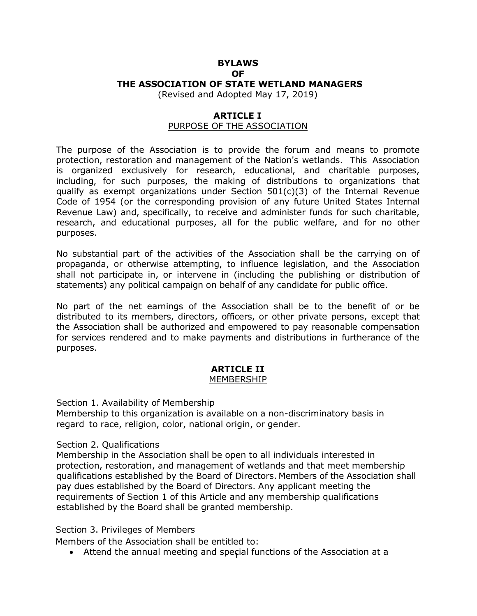# **BYLAWS OF THE ASSOCIATION OF STATE WETLAND MANAGERS**

(Revised and Adopted May 17, 2019)

#### **ARTICLE I**

#### PURPOSE OF THE ASSOCIATION

The purpose of the Association is to provide the forum and means to promote protection, restoration and management of the Nation's wetlands. This Association is organized exclusively for research, educational, and charitable purposes, including, for such purposes, the making of distributions to organizations that qualify as exempt organizations under Section 501(c)(3) of the Internal Revenue Code of 1954 (or the corresponding provision of any future United States Internal Revenue Law) and, specifically, to receive and administer funds for such charitable, research, and educational purposes, all for the public welfare, and for no other purposes.

No substantial part of the activities of the Association shall be the carrying on of propaganda, or otherwise attempting, to influence legislation, and the Association shall not participate in, or intervene in (including the publishing or distribution of statements) any political campaign on behalf of any candidate for public office.

No part of the net earnings of the Association shall be to the benefit of or be distributed to its members, directors, officers, or other private persons, except that the Association shall be authorized and empowered to pay reasonable compensation for services rendered and to make payments and distributions in furtherance of the purposes.

# **ARTICLE II**

# MEMBERSHIP

Section 1. Availability of Membership

Membership to this organization is available on a non-discriminatory basis in regard to race, religion, color, national origin, or gender.

#### Section 2. Qualifications

Membership in the Association shall be open to all individuals interested in protection, restoration, and management of wetlands and that meet membership qualifications established by the Board of Directors. Members of the Association shall pay dues established by the Board of Directors. Any applicant meeting the requirements of Section 1 of this Article and any membership qualifications established by the Board shall be granted membership.

#### Section 3. Privileges of Members

Members of the Association shall be entitled to:

• Attend the annual meeting and special functions of the Association at a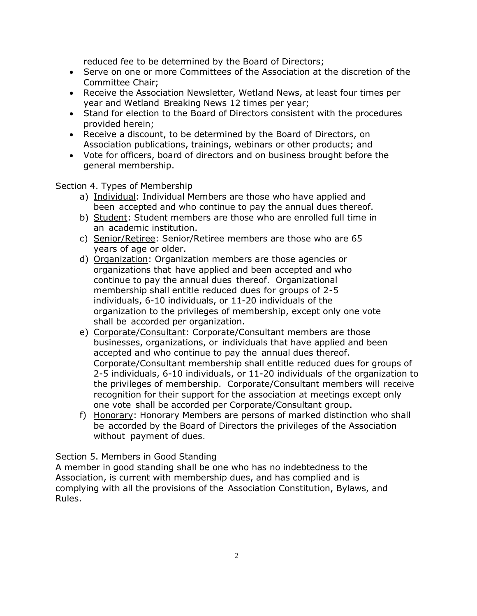reduced fee to be determined by the Board of Directors;

- Serve on one or more Committees of the Association at the discretion of the Committee Chair;
- Receive the Association Newsletter, Wetland News, at least four times per year and Wetland Breaking News 12 times per year;
- Stand for election to the Board of Directors consistent with the procedures provided herein;
- Receive a discount, to be determined by the Board of Directors, on Association publications, trainings, webinars or other products; and
- Vote for officers, board of directors and on business brought before the general membership.

Section 4. Types of Membership

- a) Individual: Individual Members are those who have applied and been accepted and who continue to pay the annual dues thereof.
- b) Student: Student members are those who are enrolled full time in an academic institution.
- c) Senior/Retiree: Senior/Retiree members are those who are 65 years of age or older.
- d) Organization: Organization members are those agencies or organizations that have applied and been accepted and who continue to pay the annual dues thereof. Organizational membership shall entitle reduced dues for groups of 2-5 individuals, 6-10 individuals, or 11-20 individuals of the organization to the privileges of membership, except only one vote shall be accorded per organization.
- e) Corporate/Consultant: Corporate/Consultant members are those businesses, organizations, or individuals that have applied and been accepted and who continue to pay the annual dues thereof. Corporate/Consultant membership shall entitle reduced dues for groups of 2-5 individuals, 6-10 individuals, or 11-20 individuals of the organization to the privileges of membership. Corporate/Consultant members will receive recognition for their support for the association at meetings except only one vote shall be accorded per Corporate/Consultant group.
- f) Honorary: Honorary Members are persons of marked distinction who shall be accorded by the Board of Directors the privileges of the Association without payment of dues.

Section 5. Members in Good Standing

A member in good standing shall be one who has no indebtedness to the Association, is current with membership dues, and has complied and is complying with all the provisions of the Association Constitution, Bylaws, and Rules.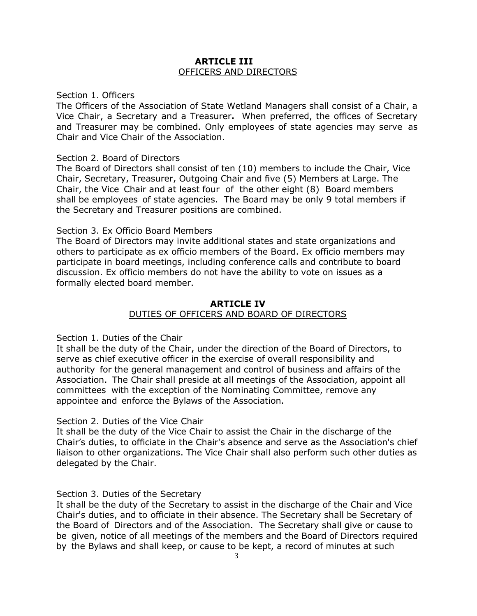#### **ARTICLE III** OFFICERS AND DIRECTORS

#### Section 1. Officers

The Officers of the Association of State Wetland Managers shall consist of a Chair, a Vice Chair, a Secretary and a Treasurer**.** When preferred, the offices of Secretary and Treasurer may be combined. Only employees of state agencies may serve as Chair and Vice Chair of the Association.

#### Section 2. Board of Directors

The Board of Directors shall consist of ten (10) members to include the Chair, Vice Chair, Secretary, Treasurer, Outgoing Chair and five (5) Members at Large. The Chair, the Vice Chair and at least four of the other eight (8) Board members shall be employees of state agencies. The Board may be only 9 total members if the Secretary and Treasurer positions are combined.

#### Section 3. Ex Officio Board Members

The Board of Directors may invite additional states and state organizations and others to participate as ex officio members of the Board. Ex officio members may participate in board meetings, including conference calls and contribute to board discussion. Ex officio members do not have the ability to vote on issues as a formally elected board member.

## **ARTICLE IV** DUTIES OF OFFICERS AND BOARD OF DIRECTORS

#### Section 1. Duties of the Chair

It shall be the duty of the Chair, under the direction of the Board of Directors, to serve as chief executive officer in the exercise of overall responsibility and authority for the general management and control of business and affairs of the Association. The Chair shall preside at all meetings of the Association, appoint all committees with the exception of the Nominating Committee, remove any appointee and enforce the Bylaws of the Association.

#### Section 2. Duties of the Vice Chair

It shall be the duty of the Vice Chair to assist the Chair in the discharge of the Chair's duties, to officiate in the Chair's absence and serve as the Association's chief liaison to other organizations. The Vice Chair shall also perform such other duties as delegated by the Chair.

#### Section 3. Duties of the Secretary

It shall be the duty of the Secretary to assist in the discharge of the Chair and Vice Chair's duties, and to officiate in their absence. The Secretary shall be Secretary of the Board of Directors and of the Association. The Secretary shall give or cause to be given, notice of all meetings of the members and the Board of Directors required by the Bylaws and shall keep, or cause to be kept, a record of minutes at such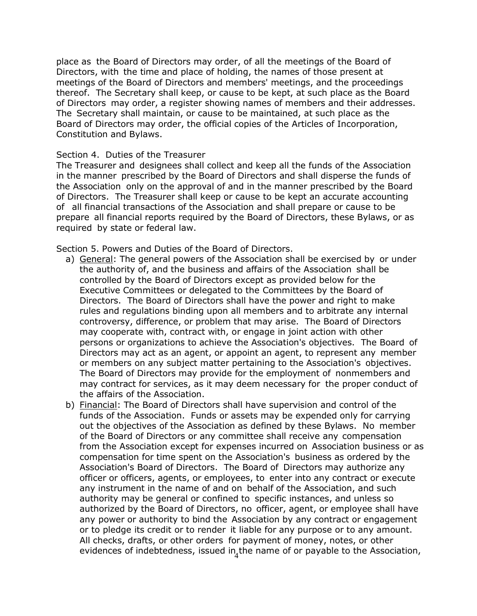place as the Board of Directors may order, of all the meetings of the Board of Directors, with the time and place of holding, the names of those present at meetings of the Board of Directors and members' meetings, and the proceedings thereof. The Secretary shall keep, or cause to be kept, at such place as the Board of Directors may order, a register showing names of members and their addresses. The Secretary shall maintain, or cause to be maintained, at such place as the Board of Directors may order, the official copies of the Articles of Incorporation, Constitution and Bylaws.

#### Section 4. Duties of the Treasurer

The Treasurer and designees shall collect and keep all the funds of the Association in the manner prescribed by the Board of Directors and shall disperse the funds of the Association only on the approval of and in the manner prescribed by the Board of Directors. The Treasurer shall keep or cause to be kept an accurate accounting of all financial transactions of the Association and shall prepare or cause to be prepare all financial reports required by the Board of Directors, these Bylaws, or as required by state or federal law.

Section 5. Powers and Duties of the Board of Directors.

- a) General: The general powers of the Association shall be exercised by or under the authority of, and the business and affairs of the Association shall be controlled by the Board of Directors except as provided below for the Executive Committees or delegated to the Committees by the Board of Directors. The Board of Directors shall have the power and right to make rules and regulations binding upon all members and to arbitrate any internal controversy, difference, or problem that may arise. The Board of Directors may cooperate with, contract with, or engage in joint action with other persons or organizations to achieve the Association's objectives. The Board of Directors may act as an agent, or appoint an agent, to represent any member or members on any subject matter pertaining to the Association's objectives. The Board of Directors may provide for the employment of nonmembers and may contract for services, as it may deem necessary for the proper conduct of the affairs of the Association.
- evidences of indebtedness, issued in<sub>4</sub>the name of or payable to the Association, b) Financial: The Board of Directors shall have supervision and control of the funds of the Association. Funds or assets may be expended only for carrying out the objectives of the Association as defined by these Bylaws. No member of the Board of Directors or any committee shall receive any compensation from the Association except for expenses incurred on Association business or as compensation for time spent on the Association's business as ordered by the Association's Board of Directors. The Board of Directors may authorize any officer or officers, agents, or employees, to enter into any contract or execute any instrument in the name of and on behalf of the Association, and such authority may be general or confined to specific instances, and unless so authorized by the Board of Directors, no officer, agent, or employee shall have any power or authority to bind the Association by any contract or engagement or to pledge its credit or to render it liable for any purpose or to any amount. All checks, drafts, or other orders for payment of money, notes, or other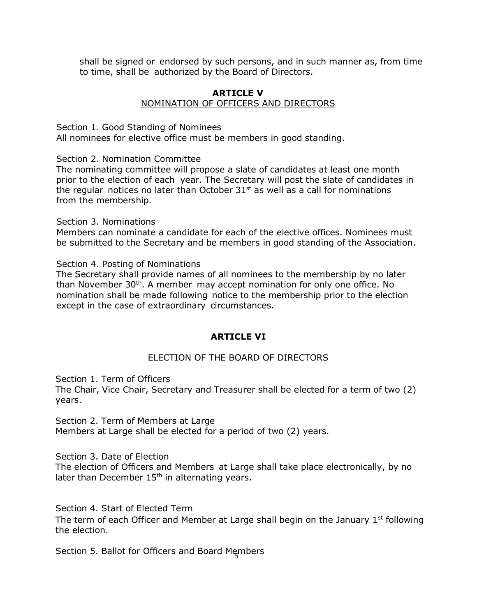shall be signed or endorsed by such persons, and in such manner as, from time to time, shall be authorized by the Board of Directors.

#### **ARTICLE V** NOMINATION OF OFFICERS AND DIRECTORS

Section 1. Good Standing of Nominees

All nominees for elective office must be members in good standing.

Section 2. Nomination Committee

The nominating committee will propose a slate of candidates at least one month prior to the election of each year. The Secretary will post the slate of candidates in the regular notices no later than October  $31<sup>st</sup>$  as well as a call for nominations from the membership.

#### Section 3. Nominations

Members can nominate a candidate for each of the elective offices. Nominees must be submitted to the Secretary and be members in good standing of the Association.

Section 4. Posting of Nominations

The Secretary shall provide names of all nominees to the membership by no later than November 30<sup>th</sup>. A member may accept nomination for only one office. No nomination shall be made following notice to the membership prior to the election except in the case of extraordinary circumstances.

#### **ARTICLE VI**

#### ELECTION OF THE BOARD OF DIRECTORS

Section 1. Term of Officers

The Chair, Vice Chair, Secretary and Treasurer shall be elected for a term of two (2) years.

Section 2. Term of Members at Large Members at Large shall be elected for a period of two (2) years.

Section 3. Date of Election

The election of Officers and Members at Large shall take place electronically, by no later than December 15<sup>th</sup> in alternating years.

Section 4. Start of Elected Term

The term of each Officer and Member at Large shall begin on the January  $1<sup>st</sup>$  following the election.

5 Section 5. Ballot for Officers and Board Members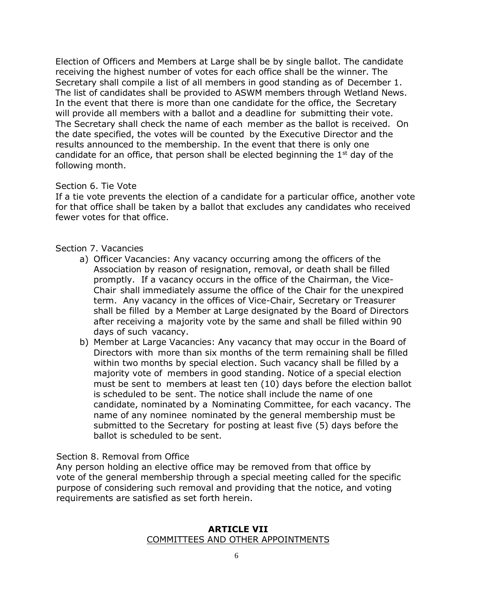Election of Officers and Members at Large shall be by single ballot. The candidate receiving the highest number of votes for each office shall be the winner. The Secretary shall compile a list of all members in good standing as of December 1. The list of candidates shall be provided to ASWM members through Wetland News. In the event that there is more than one candidate for the office, the Secretary will provide all members with a ballot and a deadline for submitting their vote. The Secretary shall check the name of each member as the ballot is received. On the date specified, the votes will be counted by the Executive Director and the results announced to the membership. In the event that there is only one candidate for an office, that person shall be elected beginning the  $1<sup>st</sup>$  day of the following month.

#### Section 6. Tie Vote

If a tie vote prevents the election of a candidate for a particular office, another vote for that office shall be taken by a ballot that excludes any candidates who received fewer votes for that office.

#### Section 7. Vacancies

- a) Officer Vacancies: Any vacancy occurring among the officers of the Association by reason of resignation, removal, or death shall be filled promptly. If a vacancy occurs in the office of the Chairman, the Vice-Chair shall immediately assume the office of the Chair for the unexpired term. Any vacancy in the offices of Vice-Chair, Secretary or Treasurer shall be filled by a Member at Large designated by the Board of Directors after receiving a majority vote by the same and shall be filled within 90 days of such vacancy.
- b) Member at Large Vacancies: Any vacancy that may occur in the Board of Directors with more than six months of the term remaining shall be filled within two months by special election. Such vacancy shall be filled by a majority vote of members in good standing. Notice of a special election must be sent to members at least ten (10) days before the election ballot is scheduled to be sent. The notice shall include the name of one candidate, nominated by a Nominating Committee, for each vacancy. The name of any nominee nominated by the general membership must be submitted to the Secretary for posting at least five (5) days before the ballot is scheduled to be sent.

#### Section 8. Removal from Office

Any person holding an elective office may be removed from that office by vote of the general membership through a special meeting called for the specific purpose of considering such removal and providing that the notice, and voting requirements are satisfied as set forth herein.

#### **ARTICLE VII** COMMITTEES AND OTHER APPOINTMENTS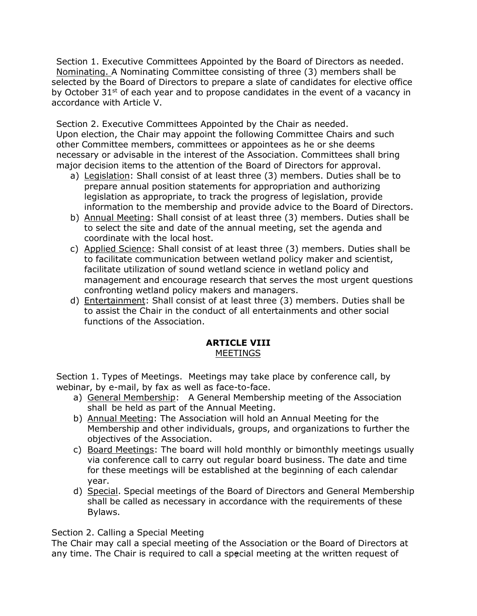Section 1. Executive Committees Appointed by the Board of Directors as needed. Nominating. A Nominating Committee consisting of three (3) members shall be selected by the Board of Directors to prepare a slate of candidates for elective office by October  $31^{st}$  of each year and to propose candidates in the event of a vacancy in accordance with Article V.

Section 2. Executive Committees Appointed by the Chair as needed. Upon election, the Chair may appoint the following Committee Chairs and such other Committee members, committees or appointees as he or she deems necessary or advisable in the interest of the Association. Committees shall bring major decision items to the attention of the Board of Directors for approval.

- a) Legislation: Shall consist of at least three (3) members. Duties shall be to prepare annual position statements for appropriation and authorizing legislation as appropriate, to track the progress of legislation, provide information to the membership and provide advice to the Board of Directors.
- b) Annual Meeting: Shall consist of at least three (3) members. Duties shall be to select the site and date of the annual meeting, set the agenda and coordinate with the local host.
- c) Applied Science: Shall consist of at least three (3) members. Duties shall be to facilitate communication between wetland policy maker and scientist, facilitate utilization of sound wetland science in wetland policy and management and encourage research that serves the most urgent questions confronting wetland policy makers and managers.
- d) Entertainment: Shall consist of at least three (3) members. Duties shall be to assist the Chair in the conduct of all entertainments and other social functions of the Association.

#### **ARTICLE VIII** MEETINGS

Section 1. Types of Meetings. Meetings may take place by conference call, by webinar, by e-mail, by fax as well as face-to-face.

- a) General Membership: A General Membership meeting of the Association shall be held as part of the Annual Meeting.
- b) Annual Meeting: The Association will hold an Annual Meeting for the Membership and other individuals, groups, and organizations to further the objectives of the Association.
- c) Board Meetings: The board will hold monthly or bimonthly meetings usually via conference call to carry out regular board business. The date and time for these meetings will be established at the beginning of each calendar year.
- d) Special. Special meetings of the Board of Directors and General Membership shall be called as necessary in accordance with the requirements of these Bylaws.

Section 2. Calling a Special Meeting

any time. The Chair is required to call a special meeting at the written request of The Chair may call a special meeting of the Association or the Board of Directors at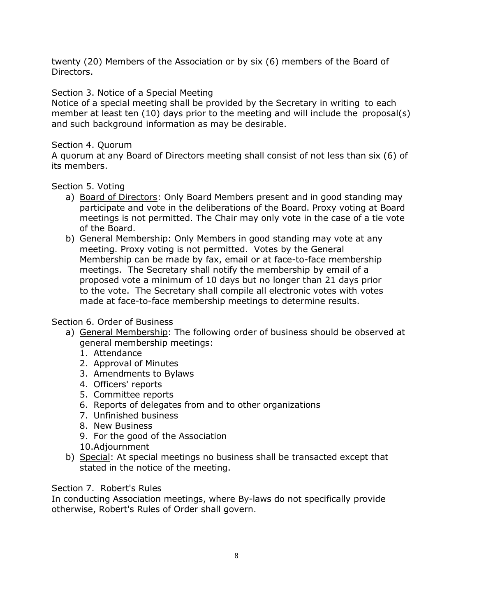twenty (20) Members of the Association or by six (6) members of the Board of Directors.

# Section 3. Notice of a Special Meeting

Notice of a special meeting shall be provided by the Secretary in writing to each member at least ten (10) days prior to the meeting and will include the proposal(s) and such background information as may be desirable.

## Section 4. Quorum

A quorum at any Board of Directors meeting shall consist of not less than six (6) of its members.

## Section 5. Voting

- a) Board of Directors: Only Board Members present and in good standing may participate and vote in the deliberations of the Board. Proxy voting at Board meetings is not permitted. The Chair may only vote in the case of a tie vote of the Board.
- b) General Membership: Only Members in good standing may vote at any meeting. Proxy voting is not permitted. Votes by the General Membership can be made by fax, email or at face-to-face membership meetings. The Secretary shall notify the membership by email of a proposed vote a minimum of 10 days but no longer than 21 days prior to the vote. The Secretary shall compile all electronic votes with votes made at face-to-face membership meetings to determine results.

#### Section 6. Order of Business

- a) General Membership: The following order of business should be observed at general membership meetings:
	- 1. Attendance
	- 2. Approval of Minutes
	- 3. Amendments to Bylaws
	- 4. Officers' reports
	- 5. Committee reports
	- 6. Reports of delegates from and to other organizations
	- 7. Unfinished business
	- 8. New Business
	- 9. For the good of the Association
	- 10.Adjournment
- b) Special: At special meetings no business shall be transacted except that stated in the notice of the meeting.

# Section 7. Robert's Rules

In conducting Association meetings, where By-laws do not specifically provide otherwise, Robert's Rules of Order shall govern.